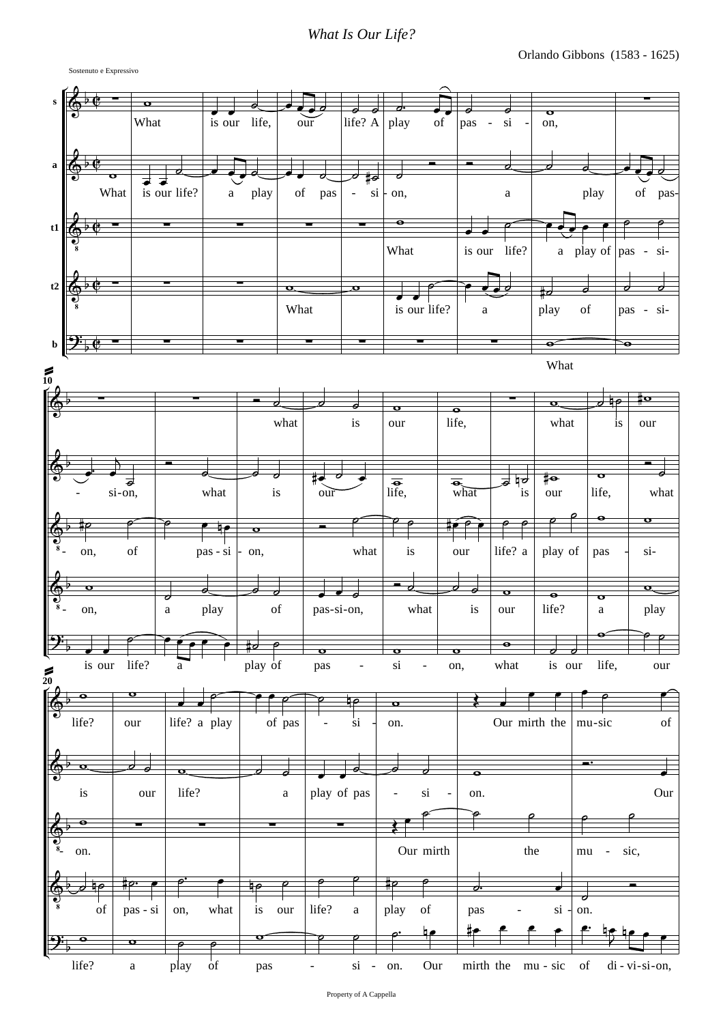## *What Is Our Life?*

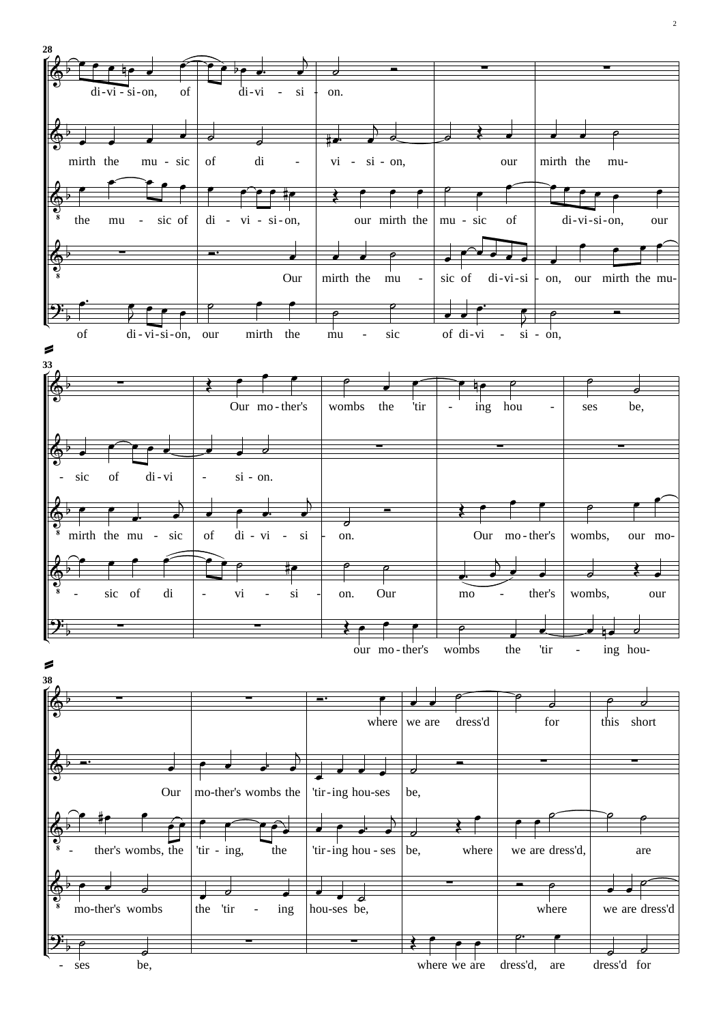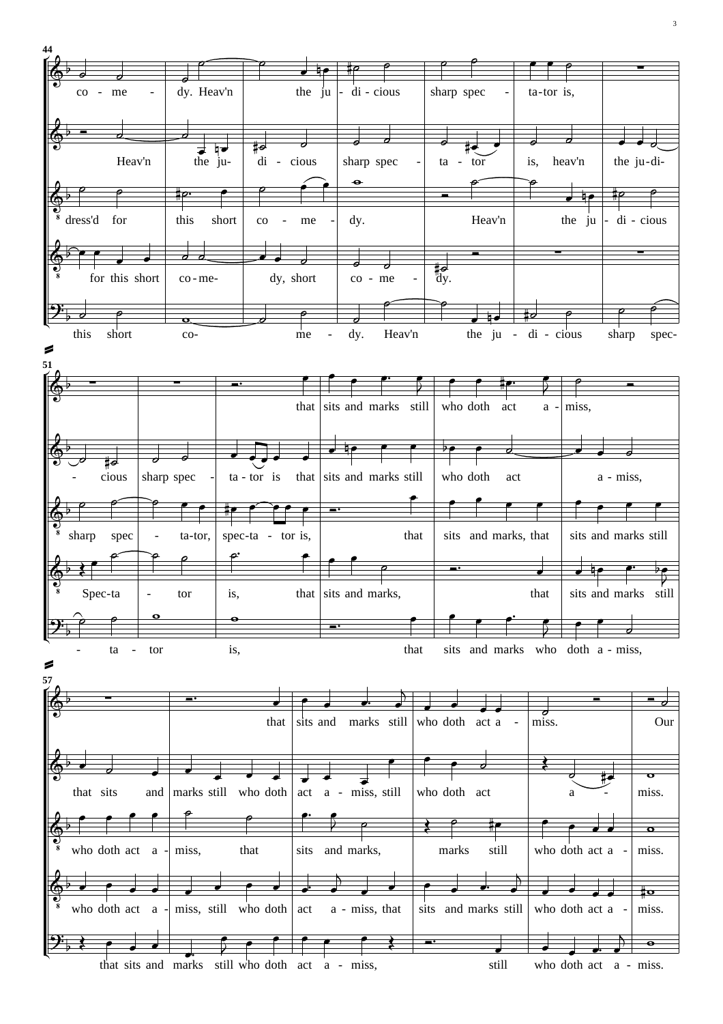

3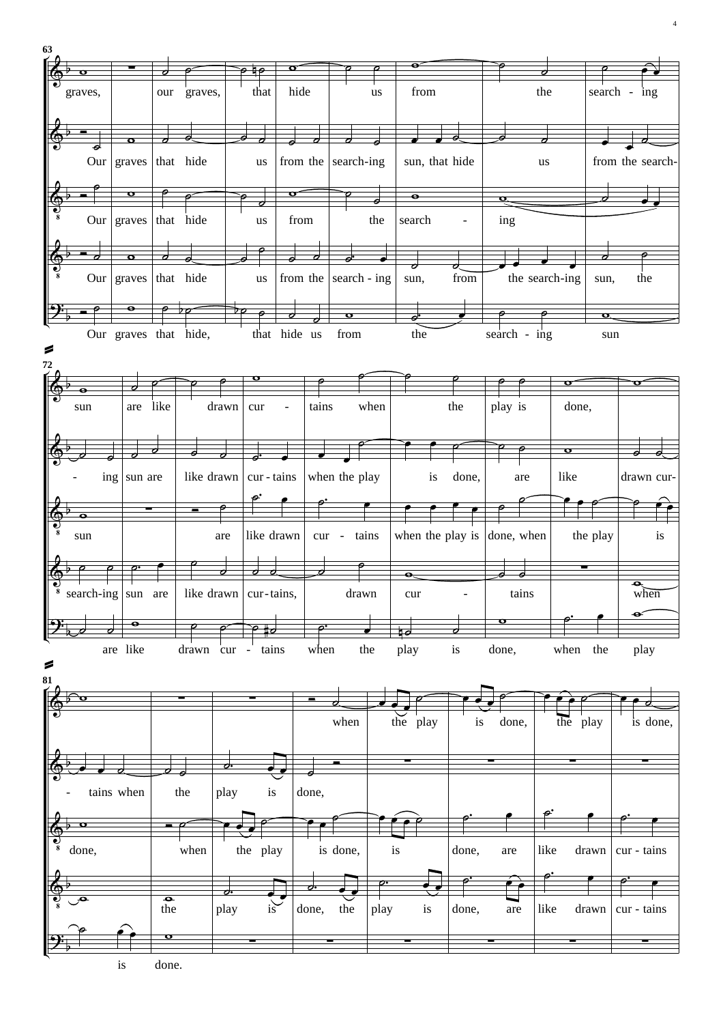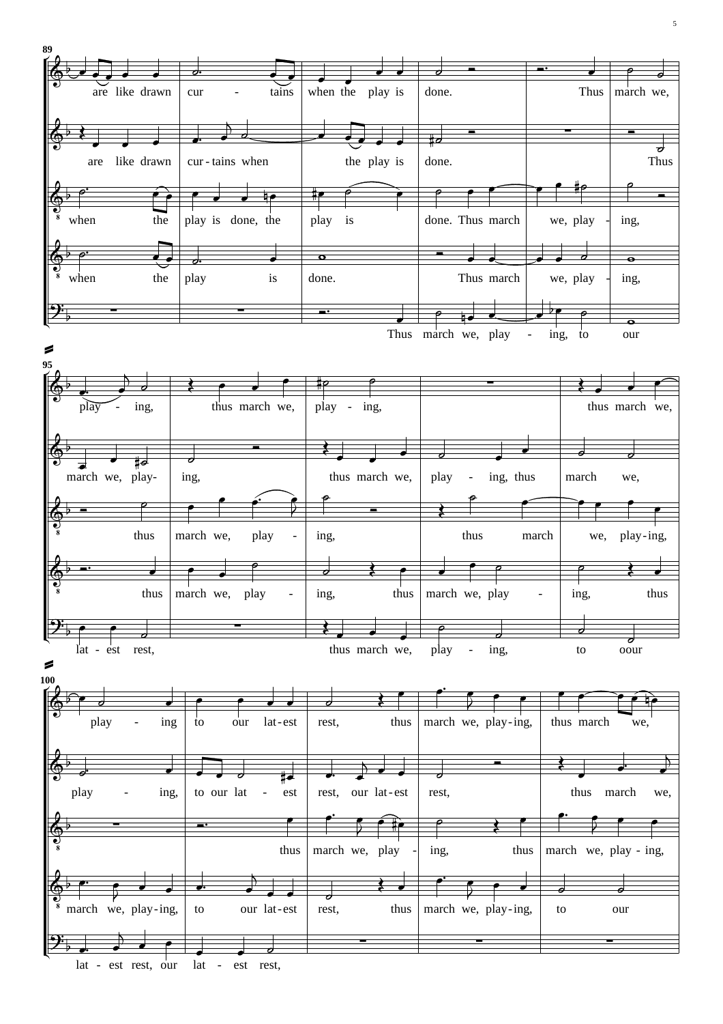